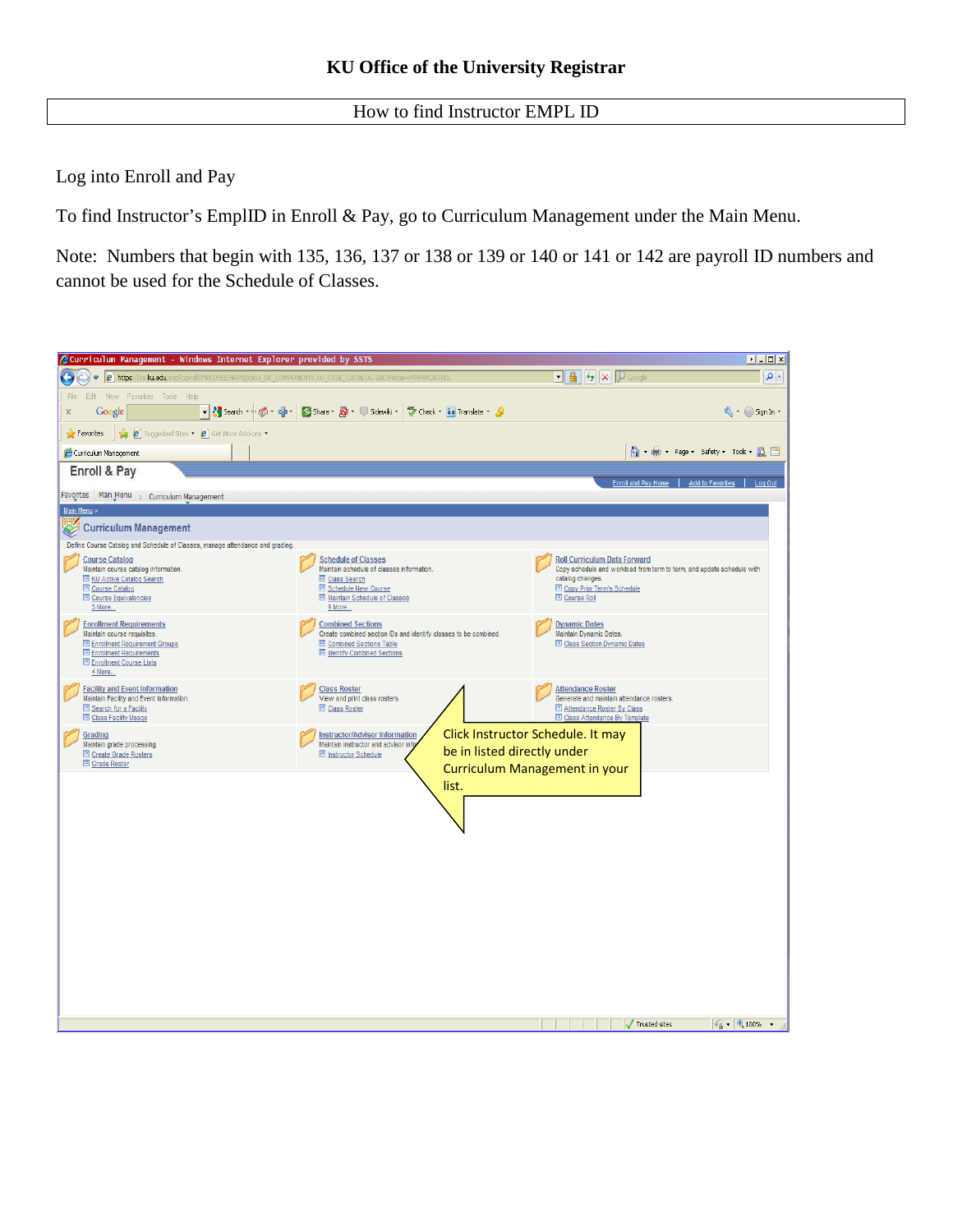How to find Instructor EMPL ID

Log into Enroll and Pay

To find Instructor's EmplID in Enroll & Pay, go to Curriculum Management under the Main Menu.

Note: Numbers that begin with 135, 136, 137 or 138 or 139 or 140 or 141 or 142 are payroll ID numbers and cannot be used for the Schedule of Classes.

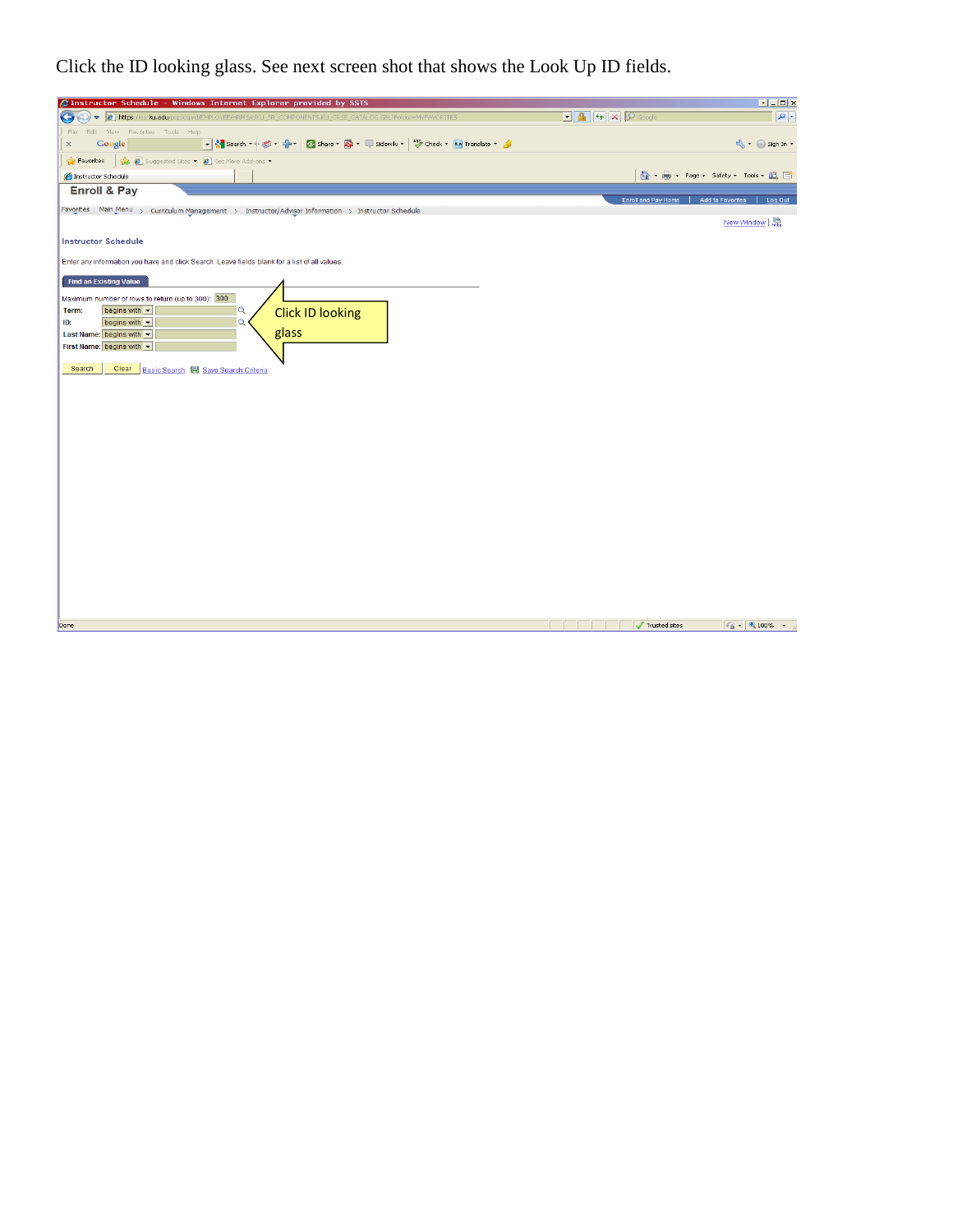Click the ID looking glass. See next screen shot that shows the Look Up ID fields.

| <b>2</b> Instructor Schedule - Windows Internet Explorer provided by SSTS                                                                                |                                                                                                                                                                                                                                                                                                                                                                                                                                                | $E = E$                                                                          |
|----------------------------------------------------------------------------------------------------------------------------------------------------------|------------------------------------------------------------------------------------------------------------------------------------------------------------------------------------------------------------------------------------------------------------------------------------------------------------------------------------------------------------------------------------------------------------------------------------------------|----------------------------------------------------------------------------------|
| $\bigodot$<br>$\bullet$ <b>e</b> https://sa.ku.edu/p                                                                                                     | $\begin{array}{ c c c }\hline \textbf{L} & \textbf{A} & \textbf{B} \\ \hline \textbf{L} & \textbf{A} & \textbf{B} \\ \hline \textbf{L} & \textbf{A} & \textbf{B} \\ \hline \textbf{L} & \textbf{A} & \textbf{B} \\ \hline \textbf{L} & \textbf{A} & \textbf{B} \\ \hline \textbf{L} & \textbf{A} & \textbf{B} \\ \hline \textbf{L} & \textbf{A} & \textbf{B} \\ \hline \textbf{L} & \textbf{A} & \textbf{B} \\ \hline \textbf{L} & \textbf{A}$ | $  \bullet  $                                                                    |
| Edit View Favorites Tools Help<br>File<br>▼ Search → ● → ● → ● D Share → D + ■ Sidewiki → <sup>Ag</sup> Check + a Translate + A<br>Google<br>$\mathbb X$ |                                                                                                                                                                                                                                                                                                                                                                                                                                                | Sign In +                                                                        |
| Suggested Sites • 8 Get More Add-ons •<br>$\sqrt{\phantom{a}}$ Favorites                                                                                 |                                                                                                                                                                                                                                                                                                                                                                                                                                                |                                                                                  |
| E Instructor Schedule                                                                                                                                    |                                                                                                                                                                                                                                                                                                                                                                                                                                                | ☆ - ● - Page - Safety - Tools - 設日                                               |
| <b>Enroll &amp; Pay</b>                                                                                                                                  |                                                                                                                                                                                                                                                                                                                                                                                                                                                |                                                                                  |
| Favorites Main Menu > Curriculum Management > Instructor/Advisor Information > Instructor Schedule                                                       |                                                                                                                                                                                                                                                                                                                                                                                                                                                | <b>Enroll and Pay Home</b><br><b>Add to Favorites</b><br>Log Out                 |
|                                                                                                                                                          |                                                                                                                                                                                                                                                                                                                                                                                                                                                | New Window $\left  \begin{smallmatrix} 1 & 0 \\ 0 & 1 \end{smallmatrix} \right $ |
| <b>Instructor Schedule</b>                                                                                                                               |                                                                                                                                                                                                                                                                                                                                                                                                                                                |                                                                                  |
| Enter any information you have and click Search. Leave fields blank for a list of all values.                                                            |                                                                                                                                                                                                                                                                                                                                                                                                                                                |                                                                                  |
| <b>Find an Existing Value</b>                                                                                                                            |                                                                                                                                                                                                                                                                                                                                                                                                                                                |                                                                                  |
| Maximum number of rows to return (up to 300): 300                                                                                                        |                                                                                                                                                                                                                                                                                                                                                                                                                                                |                                                                                  |
| begins with v<br>Q<br>Term:<br><b>Click ID looking</b>                                                                                                   |                                                                                                                                                                                                                                                                                                                                                                                                                                                |                                                                                  |
| Q<br>ID:<br>begins with v                                                                                                                                |                                                                                                                                                                                                                                                                                                                                                                                                                                                |                                                                                  |
| glass<br>Last Name: begins with v<br>First Name: begins with                                                                                             |                                                                                                                                                                                                                                                                                                                                                                                                                                                |                                                                                  |
|                                                                                                                                                          |                                                                                                                                                                                                                                                                                                                                                                                                                                                |                                                                                  |
| Clear<br>Search<br>Basic Search <b>S</b> Save Search Criteria                                                                                            |                                                                                                                                                                                                                                                                                                                                                                                                                                                |                                                                                  |
|                                                                                                                                                          |                                                                                                                                                                                                                                                                                                                                                                                                                                                |                                                                                  |
|                                                                                                                                                          |                                                                                                                                                                                                                                                                                                                                                                                                                                                |                                                                                  |
|                                                                                                                                                          |                                                                                                                                                                                                                                                                                                                                                                                                                                                |                                                                                  |
|                                                                                                                                                          |                                                                                                                                                                                                                                                                                                                                                                                                                                                |                                                                                  |
|                                                                                                                                                          |                                                                                                                                                                                                                                                                                                                                                                                                                                                |                                                                                  |
|                                                                                                                                                          |                                                                                                                                                                                                                                                                                                                                                                                                                                                |                                                                                  |
|                                                                                                                                                          |                                                                                                                                                                                                                                                                                                                                                                                                                                                |                                                                                  |
|                                                                                                                                                          |                                                                                                                                                                                                                                                                                                                                                                                                                                                |                                                                                  |
|                                                                                                                                                          |                                                                                                                                                                                                                                                                                                                                                                                                                                                |                                                                                  |
|                                                                                                                                                          |                                                                                                                                                                                                                                                                                                                                                                                                                                                |                                                                                  |
|                                                                                                                                                          |                                                                                                                                                                                                                                                                                                                                                                                                                                                |                                                                                  |
|                                                                                                                                                          |                                                                                                                                                                                                                                                                                                                                                                                                                                                |                                                                                  |
|                                                                                                                                                          |                                                                                                                                                                                                                                                                                                                                                                                                                                                |                                                                                  |
|                                                                                                                                                          |                                                                                                                                                                                                                                                                                                                                                                                                                                                |                                                                                  |
|                                                                                                                                                          |                                                                                                                                                                                                                                                                                                                                                                                                                                                |                                                                                  |
| Done                                                                                                                                                     |                                                                                                                                                                                                                                                                                                                                                                                                                                                | $\frac{1}{2}$ - 2,100% -<br>Trusted sites                                        |